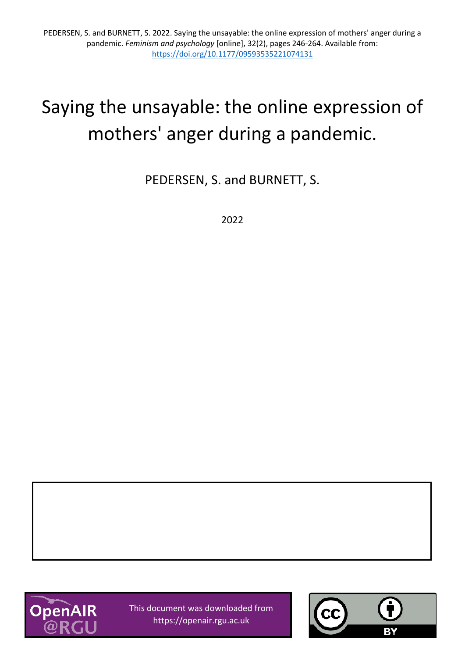# Saying the unsayable: the online expression of mothers' anger during a pandemic.

PEDERSEN, S. and BURNETT, S.

2022



This document was downloaded from https://openair.rgu.ac.uk

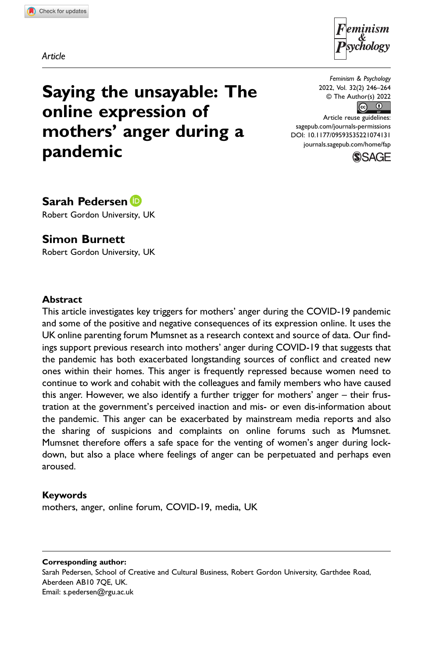Article



Saying the unsayable: The online expression of mothers' anger during a pandemic

Feminism & Psychology 2022, Vol. 32(2) 246–264 © The Author(s) 2022  $\boxed{6}$ 

Article reuse guidelines: [sagepub.com/journals-permissions](https://us.sagepub.com/en-us/journals-permissions) DOI: 10.1177/09593535221074131 [journals.sagepub.com/home/fap](https://journals.sagepub.com/home/fap)



Sarah Pedersen D

Robert Gordon University, UK

# Simon Burnett

Robert Gordon University, UK

### **Abstract**

This article investigates key triggers for mothers' anger during the COVID-19 pandemic and some of the positive and negative consequences of its expression online. It uses the UK online parenting forum Mumsnet as a research context and source of data. Our findings support previous research into mothers' anger during COVID-19 that suggests that the pandemic has both exacerbated longstanding sources of conflict and created new ones within their homes. This anger is frequently repressed because women need to continue to work and cohabit with the colleagues and family members who have caused this anger. However, we also identify a further trigger for mothers' anger – their frustration at the government's perceived inaction and mis- or even dis-information about the pandemic. This anger can be exacerbated by mainstream media reports and also the sharing of suspicions and complaints on online forums such as Mumsnet. Mumsnet therefore offers a safe space for the venting of women's anger during lockdown, but also a place where feelings of anger can be perpetuated and perhaps even aroused.

### Keywords

mothers, anger, online forum, COVID-19, media, UK

Corresponding author: Sarah Pedersen, School of Creative and Cultural Business, Robert Gordon University, Garthdee Road, Aberdeen AB10 7QE, UK. Email: [s.pedersen@rgu.ac.uk](mailto:s.pedersen@rgu.ac.uk)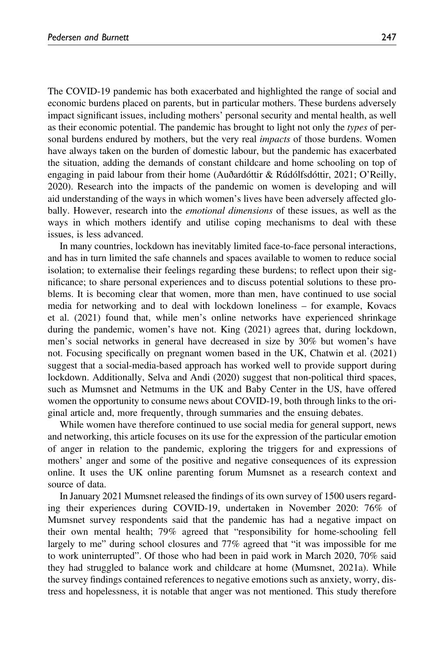The COVID-19 pandemic has both exacerbated and highlighted the range of social and economic burdens placed on parents, but in particular mothers. These burdens adversely impact significant issues, including mothers' personal security and mental health, as well as their economic potential. The pandemic has brought to light not only the types of personal burdens endured by mothers, but the very real *impacts* of those burdens. Women have always taken on the burden of domestic labour, but the pandemic has exacerbated the situation, adding the demands of constant childcare and home schooling on top of engaging in paid labour from their home (Auðardóttir & Rúdólfsdóttir, 2021; O'Reilly, 2020). Research into the impacts of the pandemic on women is developing and will aid understanding of the ways in which women's lives have been adversely affected globally. However, research into the *emotional dimensions* of these issues, as well as the ways in which mothers identify and utilise coping mechanisms to deal with these issues, is less advanced.

In many countries, lockdown has inevitably limited face-to-face personal interactions, and has in turn limited the safe channels and spaces available to women to reduce social isolation; to externalise their feelings regarding these burdens; to reflect upon their significance; to share personal experiences and to discuss potential solutions to these problems. It is becoming clear that women, more than men, have continued to use social media for networking and to deal with lockdown loneliness – for example, Kovacs et al. (2021) found that, while men's online networks have experienced shrinkage during the pandemic, women's have not. King (2021) agrees that, during lockdown, men's social networks in general have decreased in size by 30% but women's have not. Focusing specifically on pregnant women based in the UK, Chatwin et al. (2021) suggest that a social-media-based approach has worked well to provide support during lockdown. Additionally, Selva and Andi (2020) suggest that non-political third spaces, such as Mumsnet and Netmums in the UK and Baby Center in the US, have offered women the opportunity to consume news about COVID-19, both through links to the original article and, more frequently, through summaries and the ensuing debates.

While women have therefore continued to use social media for general support, news and networking, this article focuses on its use for the expression of the particular emotion of anger in relation to the pandemic, exploring the triggers for and expressions of mothers' anger and some of the positive and negative consequences of its expression online. It uses the UK online parenting forum Mumsnet as a research context and source of data.

In January 2021 Mumsnet released the findings of its own survey of 1500 users regarding their experiences during COVID-19, undertaken in November 2020: 76% of Mumsnet survey respondents said that the pandemic has had a negative impact on their own mental health; 79% agreed that "responsibility for home-schooling fell largely to me" during school closures and 77% agreed that "it was impossible for me to work uninterrupted". Of those who had been in paid work in March 2020, 70% said they had struggled to balance work and childcare at home (Mumsnet, 2021a). While the survey findings contained references to negative emotions such as anxiety, worry, distress and hopelessness, it is notable that anger was not mentioned. This study therefore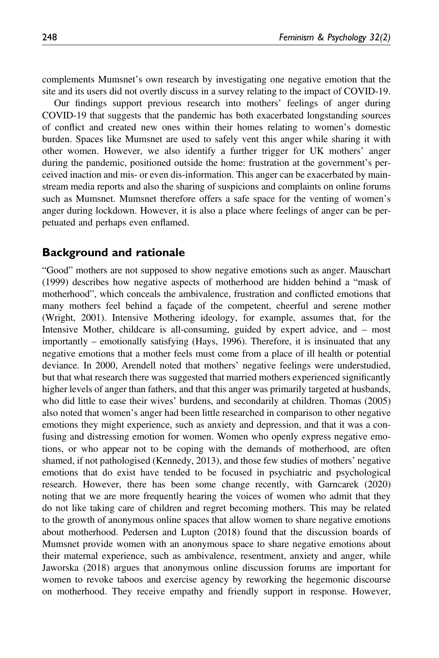complements Mumsnet's own research by investigating one negative emotion that the site and its users did not overtly discuss in a survey relating to the impact of COVID-19.

Our findings support previous research into mothers' feelings of anger during COVID-19 that suggests that the pandemic has both exacerbated longstanding sources of conflict and created new ones within their homes relating to women's domestic burden. Spaces like Mumsnet are used to safely vent this anger while sharing it with other women. However, we also identify a further trigger for UK mothers' anger during the pandemic, positioned outside the home: frustration at the government's perceived inaction and mis- or even dis-information. This anger can be exacerbated by mainstream media reports and also the sharing of suspicions and complaints on online forums such as Mumsnet. Mumsnet therefore offers a safe space for the venting of women's anger during lockdown. However, it is also a place where feelings of anger can be perpetuated and perhaps even enflamed.

## Background and rationale

"Good" mothers are not supposed to show negative emotions such as anger. Mauschart (1999) describes how negative aspects of motherhood are hidden behind a "mask of motherhood", which conceals the ambivalence, frustration and conflicted emotions that many mothers feel behind a façade of the competent, cheerful and serene mother (Wright, 2001). Intensive Mothering ideology, for example, assumes that, for the Intensive Mother, childcare is all-consuming, guided by expert advice, and – most importantly – emotionally satisfying (Hays, 1996). Therefore, it is insinuated that any negative emotions that a mother feels must come from a place of ill health or potential deviance. In 2000, Arendell noted that mothers' negative feelings were understudied, but that what research there was suggested that married mothers experienced significantly higher levels of anger than fathers, and that this anger was primarily targeted at husbands, who did little to ease their wives' burdens, and secondarily at children. Thomas (2005) also noted that women's anger had been little researched in comparison to other negative emotions they might experience, such as anxiety and depression, and that it was a confusing and distressing emotion for women. Women who openly express negative emotions, or who appear not to be coping with the demands of motherhood, are often shamed, if not pathologised (Kennedy, 2013), and those few studies of mothers' negative emotions that do exist have tended to be focused in psychiatric and psychological research. However, there has been some change recently, with Garncarek (2020) noting that we are more frequently hearing the voices of women who admit that they do not like taking care of children and regret becoming mothers. This may be related to the growth of anonymous online spaces that allow women to share negative emotions about motherhood. Pedersen and Lupton (2018) found that the discussion boards of Mumsnet provide women with an anonymous space to share negative emotions about their maternal experience, such as ambivalence, resentment, anxiety and anger, while Jaworska (2018) argues that anonymous online discussion forums are important for women to revoke taboos and exercise agency by reworking the hegemonic discourse on motherhood. They receive empathy and friendly support in response. However,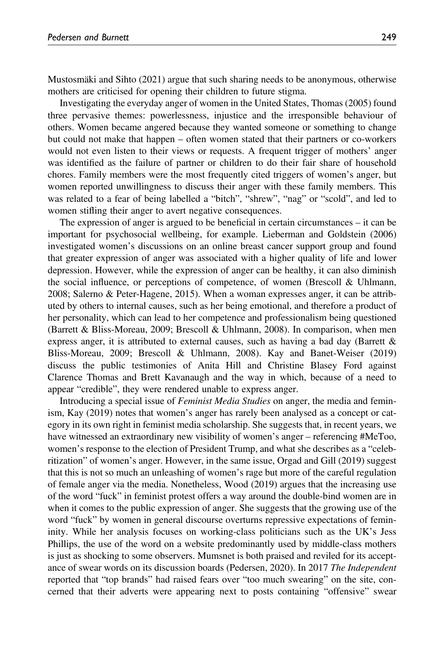Mustosmäki and Sihto (2021) argue that such sharing needs to be anonymous, otherwise mothers are criticised for opening their children to future stigma.

Investigating the everyday anger of women in the United States, Thomas (2005) found three pervasive themes: powerlessness, injustice and the irresponsible behaviour of others. Women became angered because they wanted someone or something to change but could not make that happen – often women stated that their partners or co-workers would not even listen to their views or requests. A frequent trigger of mothers' anger was identified as the failure of partner or children to do their fair share of household chores. Family members were the most frequently cited triggers of women's anger, but women reported unwillingness to discuss their anger with these family members. This was related to a fear of being labelled a "bitch", "shrew", "nag" or "scold", and led to women stifling their anger to avert negative consequences.

The expression of anger is argued to be beneficial in certain circumstances – it can be important for psychosocial wellbeing, for example. Lieberman and Goldstein (2006) investigated women's discussions on an online breast cancer support group and found that greater expression of anger was associated with a higher quality of life and lower depression. However, while the expression of anger can be healthy, it can also diminish the social influence, or perceptions of competence, of women (Brescoll & Uhlmann, 2008; Salerno & Peter-Hagene, 2015). When a woman expresses anger, it can be attributed by others to internal causes, such as her being emotional, and therefore a product of her personality, which can lead to her competence and professionalism being questioned (Barrett & Bliss-Moreau, 2009; Brescoll & Uhlmann, 2008). In comparison, when men express anger, it is attributed to external causes, such as having a bad day (Barrett  $\&$ Bliss-Moreau, 2009; Brescoll & Uhlmann, 2008). Kay and Banet-Weiser (2019) discuss the public testimonies of Anita Hill and Christine Blasey Ford against Clarence Thomas and Brett Kavanaugh and the way in which, because of a need to appear "credible", they were rendered unable to express anger.

Introducing a special issue of Feminist Media Studies on anger, the media and feminism, Kay (2019) notes that women's anger has rarely been analysed as a concept or category in its own right in feminist media scholarship. She suggests that, in recent years, we have witnessed an extraordinary new visibility of women's anger – referencing #MeToo, women's response to the election of President Trump, and what she describes as a "celebritization" of women's anger. However, in the same issue, Orgad and Gill (2019) suggest that this is not so much an unleashing of women's rage but more of the careful regulation of female anger via the media. Nonetheless, Wood (2019) argues that the increasing use of the word "fuck" in feminist protest offers a way around the double-bind women are in when it comes to the public expression of anger. She suggests that the growing use of the word "fuck" by women in general discourse overturns repressive expectations of femininity. While her analysis focuses on working-class politicians such as the UK's Jess Phillips, the use of the word on a website predominantly used by middle-class mothers is just as shocking to some observers. Mumsnet is both praised and reviled for its acceptance of swear words on its discussion boards (Pedersen, 2020). In 2017 The Independent reported that "top brands" had raised fears over "too much swearing" on the site, concerned that their adverts were appearing next to posts containing "offensive" swear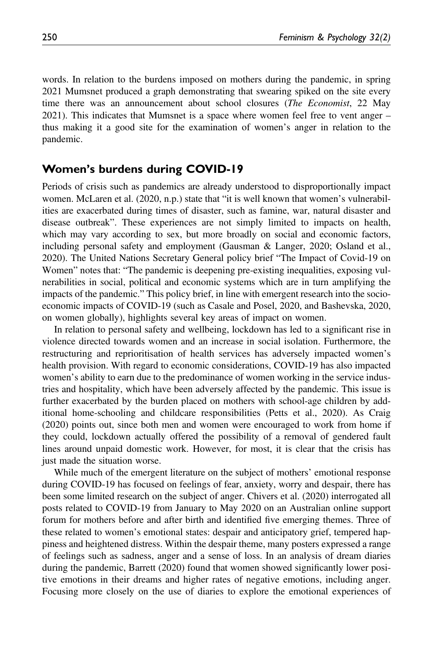words. In relation to the burdens imposed on mothers during the pandemic, in spring 2021 Mumsnet produced a graph demonstrating that swearing spiked on the site every time there was an announcement about school closures (The Economist, 22 May 2021). This indicates that Mumsnet is a space where women feel free to vent anger – thus making it a good site for the examination of women's anger in relation to the pandemic.

## Women's burdens during COVID-19

Periods of crisis such as pandemics are already understood to disproportionally impact women. McLaren et al. (2020, n.p.) state that "it is well known that women's vulnerabilities are exacerbated during times of disaster, such as famine, war, natural disaster and disease outbreak". These experiences are not simply limited to impacts on health, which may vary according to sex, but more broadly on social and economic factors, including personal safety and employment (Gausman & Langer, 2020; Osland et al., 2020). The United Nations Secretary General policy brief "The Impact of Covid-19 on Women" notes that: "The pandemic is deepening pre-existing inequalities, exposing vulnerabilities in social, political and economic systems which are in turn amplifying the impacts of the pandemic." This policy brief, in line with emergent research into the socioeconomic impacts of COVID-19 (such as Casale and Posel, 2020, and Bashevska, 2020, on women globally), highlights several key areas of impact on women.

In relation to personal safety and wellbeing, lockdown has led to a significant rise in violence directed towards women and an increase in social isolation. Furthermore, the restructuring and reprioritisation of health services has adversely impacted women's health provision. With regard to economic considerations, COVID-19 has also impacted women's ability to earn due to the predominance of women working in the service industries and hospitality, which have been adversely affected by the pandemic. This issue is further exacerbated by the burden placed on mothers with school-age children by additional home-schooling and childcare responsibilities (Petts et al., 2020). As Craig (2020) points out, since both men and women were encouraged to work from home if they could, lockdown actually offered the possibility of a removal of gendered fault lines around unpaid domestic work. However, for most, it is clear that the crisis has just made the situation worse.

While much of the emergent literature on the subject of mothers' emotional response during COVID-19 has focused on feelings of fear, anxiety, worry and despair, there has been some limited research on the subject of anger. Chivers et al. (2020) interrogated all posts related to COVID-19 from January to May 2020 on an Australian online support forum for mothers before and after birth and identified five emerging themes. Three of these related to women's emotional states: despair and anticipatory grief, tempered happiness and heightened distress. Within the despair theme, many posters expressed a range of feelings such as sadness, anger and a sense of loss. In an analysis of dream diaries during the pandemic, Barrett (2020) found that women showed significantly lower positive emotions in their dreams and higher rates of negative emotions, including anger. Focusing more closely on the use of diaries to explore the emotional experiences of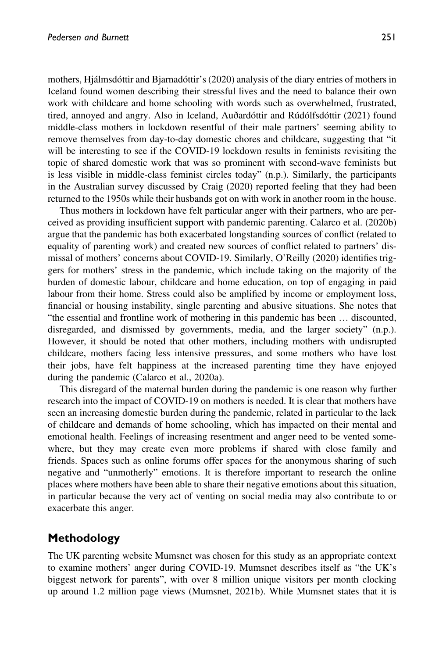mothers, Hjálmsdóttir and Bjarnadóttir's (2020) analysis of the diary entries of mothers in Iceland found women describing their stressful lives and the need to balance their own work with childcare and home schooling with words such as overwhelmed, frustrated, tired, annoyed and angry. Also in Iceland, Auðardóttir and Rúdólfsdóttir (2021) found middle-class mothers in lockdown resentful of their male partners' seeming ability to remove themselves from day-to-day domestic chores and childcare, suggesting that "it will be interesting to see if the COVID-19 lockdown results in feminists revisiting the topic of shared domestic work that was so prominent with second-wave feminists but is less visible in middle-class feminist circles today" (n.p.). Similarly, the participants in the Australian survey discussed by Craig (2020) reported feeling that they had been returned to the 1950s while their husbands got on with work in another room in the house.

Thus mothers in lockdown have felt particular anger with their partners, who are perceived as providing insufficient support with pandemic parenting. Calarco et al. (2020b) argue that the pandemic has both exacerbated longstanding sources of conflict (related to equality of parenting work) and created new sources of conflict related to partners' dismissal of mothers' concerns about COVID-19. Similarly, O'Reilly (2020) identifies triggers for mothers' stress in the pandemic, which include taking on the majority of the burden of domestic labour, childcare and home education, on top of engaging in paid labour from their home. Stress could also be amplified by income or employment loss, financial or housing instability, single parenting and abusive situations. She notes that "the essential and frontline work of mothering in this pandemic has been … discounted, disregarded, and dismissed by governments, media, and the larger society" (n.p.). However, it should be noted that other mothers, including mothers with undisrupted childcare, mothers facing less intensive pressures, and some mothers who have lost their jobs, have felt happiness at the increased parenting time they have enjoyed during the pandemic (Calarco et al., 2020a).

This disregard of the maternal burden during the pandemic is one reason why further research into the impact of COVID-19 on mothers is needed. It is clear that mothers have seen an increasing domestic burden during the pandemic, related in particular to the lack of childcare and demands of home schooling, which has impacted on their mental and emotional health. Feelings of increasing resentment and anger need to be vented somewhere, but they may create even more problems if shared with close family and friends. Spaces such as online forums offer spaces for the anonymous sharing of such negative and "unmotherly" emotions. It is therefore important to research the online places where mothers have been able to share their negative emotions about this situation, in particular because the very act of venting on social media may also contribute to or exacerbate this anger.

# Methodology

The UK parenting website Mumsnet was chosen for this study as an appropriate context to examine mothers' anger during COVID-19. Mumsnet describes itself as "the UK's biggest network for parents", with over 8 million unique visitors per month clocking up around 1.2 million page views (Mumsnet, 2021b). While Mumsnet states that it is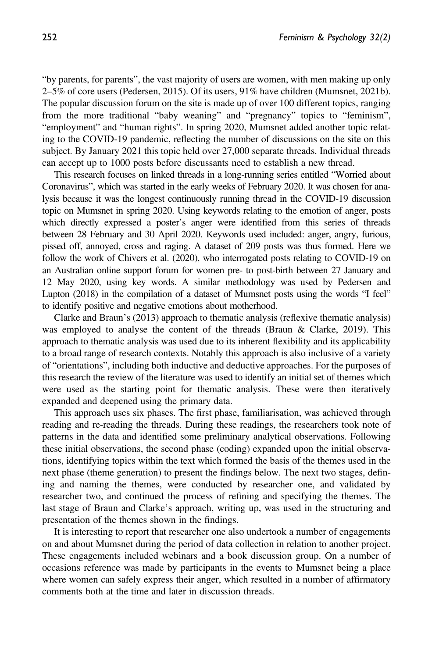"by parents, for parents", the vast majority of users are women, with men making up only  $2-5\%$  of core users (Pedersen, 2015). Of its users, 91% have children (Mumsnet, 2021b). The popular discussion forum on the site is made up of over 100 different topics, ranging from the more traditional "baby weaning" and "pregnancy" topics to "feminism", "employment" and "human rights". In spring 2020, Mumsnet added another topic relating to the COVID-19 pandemic, reflecting the number of discussions on the site on this subject. By January 2021 this topic held over 27,000 separate threads. Individual threads can accept up to 1000 posts before discussants need to establish a new thread.

This research focuses on linked threads in a long-running series entitled "Worried about Coronavirus", which was started in the early weeks of February 2020. It was chosen for analysis because it was the longest continuously running thread in the COVID-19 discussion topic on Mumsnet in spring 2020. Using keywords relating to the emotion of anger, posts which directly expressed a poster's anger were identified from this series of threads between 28 February and 30 April 2020. Keywords used included: anger, angry, furious, pissed off, annoyed, cross and raging. A dataset of 209 posts was thus formed. Here we follow the work of Chivers et al. (2020), who interrogated posts relating to COVID-19 on an Australian online support forum for women pre- to post-birth between 27 January and 12 May 2020, using key words. A similar methodology was used by Pedersen and Lupton (2018) in the compilation of a dataset of Mumsnet posts using the words "I feel" to identify positive and negative emotions about motherhood.

Clarke and Braun's (2013) approach to thematic analysis (reflexive thematic analysis) was employed to analyse the content of the threads (Braun & Clarke, 2019). This approach to thematic analysis was used due to its inherent flexibility and its applicability to a broad range of research contexts. Notably this approach is also inclusive of a variety of "orientations", including both inductive and deductive approaches. For the purposes of this research the review of the literature was used to identify an initial set of themes which were used as the starting point for thematic analysis. These were then iteratively expanded and deepened using the primary data.

This approach uses six phases. The first phase, familiarisation, was achieved through reading and re-reading the threads. During these readings, the researchers took note of patterns in the data and identified some preliminary analytical observations. Following these initial observations, the second phase (coding) expanded upon the initial observations, identifying topics within the text which formed the basis of the themes used in the next phase (theme generation) to present the findings below. The next two stages, defining and naming the themes, were conducted by researcher one, and validated by researcher two, and continued the process of refining and specifying the themes. The last stage of Braun and Clarke's approach, writing up, was used in the structuring and presentation of the themes shown in the findings.

It is interesting to report that researcher one also undertook a number of engagements on and about Mumsnet during the period of data collection in relation to another project. These engagements included webinars and a book discussion group. On a number of occasions reference was made by participants in the events to Mumsnet being a place where women can safely express their anger, which resulted in a number of affirmatory comments both at the time and later in discussion threads.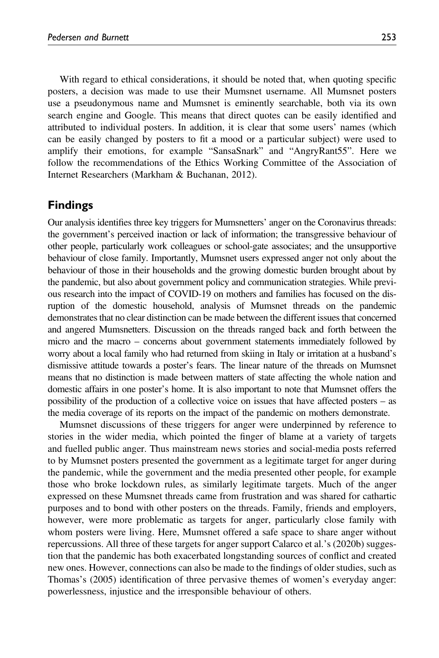With regard to ethical considerations, it should be noted that, when quoting specific posters, a decision was made to use their Mumsnet username. All Mumsnet posters use a pseudonymous name and Mumsnet is eminently searchable, both via its own search engine and Google. This means that direct quotes can be easily identified and attributed to individual posters. In addition, it is clear that some users' names (which can be easily changed by posters to fit a mood or a particular subject) were used to amplify their emotions, for example "SansaSnark" and "AngryRant55". Here we follow the recommendations of the Ethics Working Committee of the Association of Internet Researchers (Markham & Buchanan, 2012).

# Findings

Our analysis identifies three key triggers for Mumsnetters' anger on the Coronavirus threads: the government's perceived inaction or lack of information; the transgressive behaviour of other people, particularly work colleagues or school-gate associates; and the unsupportive behaviour of close family. Importantly, Mumsnet users expressed anger not only about the behaviour of those in their households and the growing domestic burden brought about by the pandemic, but also about government policy and communication strategies. While previous research into the impact of COVID-19 on mothers and families has focused on the disruption of the domestic household, analysis of Mumsnet threads on the pandemic demonstrates that no clear distinction can be made between the different issues that concerned and angered Mumsnetters. Discussion on the threads ranged back and forth between the micro and the macro – concerns about government statements immediately followed by worry about a local family who had returned from skiing in Italy or irritation at a husband's dismissive attitude towards a poster's fears. The linear nature of the threads on Mumsnet means that no distinction is made between matters of state affecting the whole nation and domestic affairs in one poster's home. It is also important to note that Mumsnet offers the possibility of the production of a collective voice on issues that have affected posters – as the media coverage of its reports on the impact of the pandemic on mothers demonstrate.

Mumsnet discussions of these triggers for anger were underpinned by reference to stories in the wider media, which pointed the finger of blame at a variety of targets and fuelled public anger. Thus mainstream news stories and social-media posts referred to by Mumsnet posters presented the government as a legitimate target for anger during the pandemic, while the government and the media presented other people, for example those who broke lockdown rules, as similarly legitimate targets. Much of the anger expressed on these Mumsnet threads came from frustration and was shared for cathartic purposes and to bond with other posters on the threads. Family, friends and employers, however, were more problematic as targets for anger, particularly close family with whom posters were living. Here, Mumsnet offered a safe space to share anger without repercussions. All three of these targets for anger support Calarco et al.'s (2020b) suggestion that the pandemic has both exacerbated longstanding sources of conflict and created new ones. However, connections can also be made to the findings of older studies, such as Thomas's (2005) identification of three pervasive themes of women's everyday anger: powerlessness, injustice and the irresponsible behaviour of others.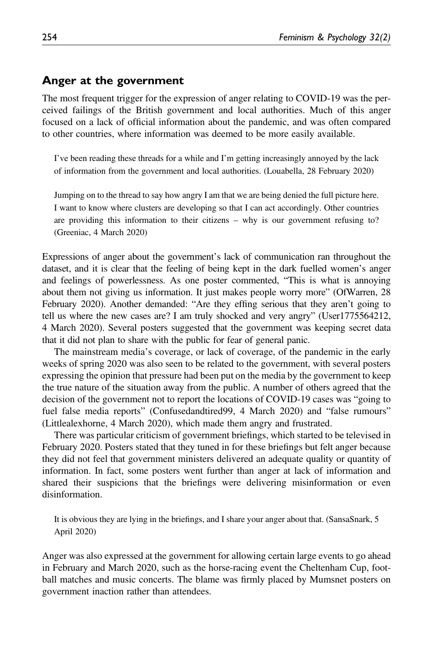### Anger at the government

The most frequent trigger for the expression of anger relating to COVID-19 was the perceived failings of the British government and local authorities. Much of this anger focused on a lack of official information about the pandemic, and was often compared to other countries, where information was deemed to be more easily available.

I've been reading these threads for a while and I'm getting increasingly annoyed by the lack of information from the government and local authorities. (Louabella, 28 February 2020)

Jumping on to the thread to say how angry I am that we are being denied the full picture here. I want to know where clusters are developing so that I can act accordingly. Other countries are providing this information to their citizens – why is our government refusing to? (Greeniac, 4 March 2020)

Expressions of anger about the government's lack of communication ran throughout the dataset, and it is clear that the feeling of being kept in the dark fuelled women's anger and feelings of powerlessness. As one poster commented, "This is what is annoying about them not giving us information. It just makes people worry more" (OfWarren, 28 February 2020). Another demanded: "Are they effing serious that they aren't going to tell us where the new cases are? I am truly shocked and very angry" (User1775564212, 4 March 2020). Several posters suggested that the government was keeping secret data that it did not plan to share with the public for fear of general panic.

The mainstream media's coverage, or lack of coverage, of the pandemic in the early weeks of spring 2020 was also seen to be related to the government, with several posters expressing the opinion that pressure had been put on the media by the government to keep the true nature of the situation away from the public. A number of others agreed that the decision of the government not to report the locations of COVID-19 cases was "going to fuel false media reports" (Confusedandtired99, 4 March 2020) and "false rumours" (Littlealexhorne, 4 March 2020), which made them angry and frustrated.

There was particular criticism of government briefings, which started to be televised in February 2020. Posters stated that they tuned in for these briefings but felt anger because they did not feel that government ministers delivered an adequate quality or quantity of information. In fact, some posters went further than anger at lack of information and shared their suspicions that the briefings were delivering misinformation or even disinformation.

It is obvious they are lying in the briefings, and I share your anger about that. (SansaSnark, 5 April 2020)

Anger was also expressed at the government for allowing certain large events to go ahead in February and March 2020, such as the horse-racing event the Cheltenham Cup, football matches and music concerts. The blame was firmly placed by Mumsnet posters on government inaction rather than attendees.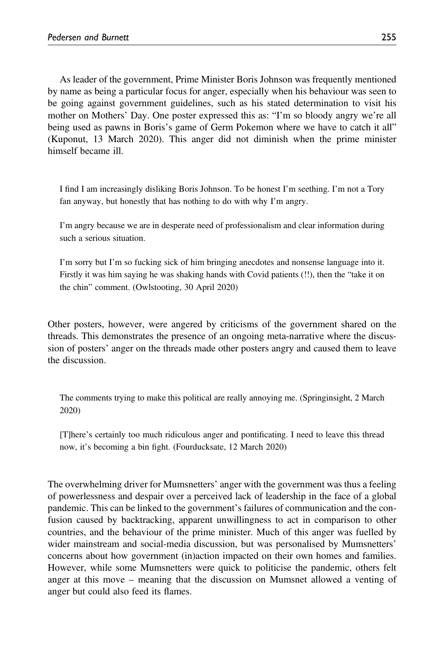As leader of the government, Prime Minister Boris Johnson was frequently mentioned by name as being a particular focus for anger, especially when his behaviour was seen to be going against government guidelines, such as his stated determination to visit his mother on Mothers' Day. One poster expressed this as: "I'm so bloody angry we're all being used as pawns in Boris's game of Germ Pokemon where we have to catch it all" (Kuponut, 13 March 2020). This anger did not diminish when the prime minister himself became ill.

I find I am increasingly disliking Boris Johnson. To be honest I'm seething. I'm not a Tory fan anyway, but honestly that has nothing to do with why I'm angry.

I'm angry because we are in desperate need of professionalism and clear information during such a serious situation.

I'm sorry but I'm so fucking sick of him bringing anecdotes and nonsense language into it. Firstly it was him saying he was shaking hands with Covid patients (!!), then the "take it on the chin" comment. (Owlstooting, 30 April 2020)

Other posters, however, were angered by criticisms of the government shared on the threads. This demonstrates the presence of an ongoing meta-narrative where the discussion of posters' anger on the threads made other posters angry and caused them to leave the discussion.

The comments trying to make this political are really annoying me. (Springinsight, 2 March 2020)

[T]here's certainly too much ridiculous anger and pontificating. I need to leave this thread now, it's becoming a bin fight. (Fourducksate, 12 March 2020)

The overwhelming driver for Mumsnetters' anger with the government was thus a feeling of powerlessness and despair over a perceived lack of leadership in the face of a global pandemic. This can be linked to the government's failures of communication and the confusion caused by backtracking, apparent unwillingness to act in comparison to other countries, and the behaviour of the prime minister. Much of this anger was fuelled by wider mainstream and social-media discussion, but was personalised by Mumsnetters' concerns about how government (in)action impacted on their own homes and families. However, while some Mumsnetters were quick to politicise the pandemic, others felt anger at this move – meaning that the discussion on Mumsnet allowed a venting of anger but could also feed its flames.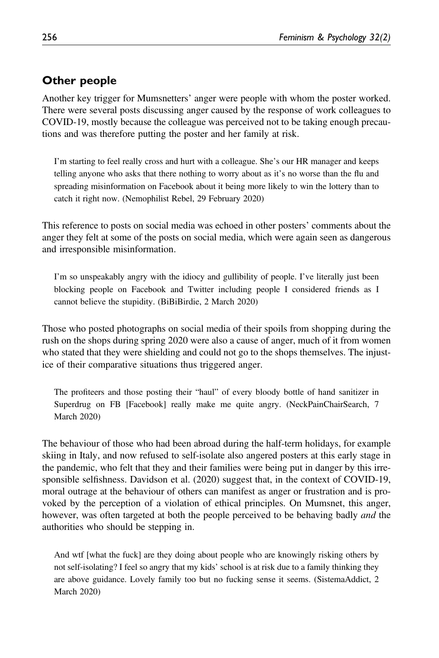# Other people

Another key trigger for Mumsnetters' anger were people with whom the poster worked. There were several posts discussing anger caused by the response of work colleagues to COVID-19, mostly because the colleague was perceived not to be taking enough precautions and was therefore putting the poster and her family at risk.

I'm starting to feel really cross and hurt with a colleague. She's our HR manager and keeps telling anyone who asks that there nothing to worry about as it's no worse than the flu and spreading misinformation on Facebook about it being more likely to win the lottery than to catch it right now. (Nemophilist Rebel, 29 February 2020)

This reference to posts on social media was echoed in other posters' comments about the anger they felt at some of the posts on social media, which were again seen as dangerous and irresponsible misinformation.

I'm so unspeakably angry with the idiocy and gullibility of people. I've literally just been blocking people on Facebook and Twitter including people I considered friends as I cannot believe the stupidity. (BiBiBirdie, 2 March 2020)

Those who posted photographs on social media of their spoils from shopping during the rush on the shops during spring 2020 were also a cause of anger, much of it from women who stated that they were shielding and could not go to the shops themselves. The injustice of their comparative situations thus triggered anger.

The profiteers and those posting their "haul" of every bloody bottle of hand sanitizer in Superdrug on FB [Facebook] really make me quite angry. (NeckPainChairSearch, 7 March 2020)

The behaviour of those who had been abroad during the half-term holidays, for example skiing in Italy, and now refused to self-isolate also angered posters at this early stage in the pandemic, who felt that they and their families were being put in danger by this irresponsible selfishness. Davidson et al. (2020) suggest that, in the context of COVID-19, moral outrage at the behaviour of others can manifest as anger or frustration and is provoked by the perception of a violation of ethical principles. On Mumsnet, this anger, however, was often targeted at both the people perceived to be behaving badly *and* the authorities who should be stepping in.

And wtf [what the fuck] are they doing about people who are knowingly risking others by not self-isolating? I feel so angry that my kids' school is at risk due to a family thinking they are above guidance. Lovely family too but no fucking sense it seems. (SistemaAddict, 2 March 2020)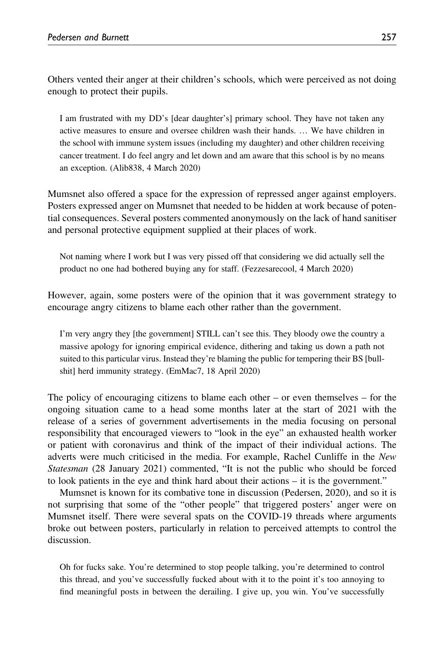Others vented their anger at their children's schools, which were perceived as not doing enough to protect their pupils.

I am frustrated with my DD's [dear daughter's] primary school. They have not taken any active measures to ensure and oversee children wash their hands. … We have children in the school with immune system issues (including my daughter) and other children receiving cancer treatment. I do feel angry and let down and am aware that this school is by no means an exception. (Alib838, 4 March 2020)

Mumsnet also offered a space for the expression of repressed anger against employers. Posters expressed anger on Mumsnet that needed to be hidden at work because of potential consequences. Several posters commented anonymously on the lack of hand sanitiser and personal protective equipment supplied at their places of work.

Not naming where I work but I was very pissed off that considering we did actually sell the product no one had bothered buying any for staff. (Fezzesarecool, 4 March 2020)

However, again, some posters were of the opinion that it was government strategy to encourage angry citizens to blame each other rather than the government.

I'm very angry they [the government] STILL can't see this. They bloody owe the country a massive apology for ignoring empirical evidence, dithering and taking us down a path not suited to this particular virus. Instead they're blaming the public for tempering their BS [bullshit] herd immunity strategy. (EmMac7, 18 April 2020)

The policy of encouraging citizens to blame each other – or even themselves – for the ongoing situation came to a head some months later at the start of 2021 with the release of a series of government advertisements in the media focusing on personal responsibility that encouraged viewers to "look in the eye" an exhausted health worker or patient with coronavirus and think of the impact of their individual actions. The adverts were much criticised in the media. For example, Rachel Cunliffe in the New Statesman (28 January 2021) commented, "It is not the public who should be forced to look patients in the eye and think hard about their actions – it is the government."

Mumsnet is known for its combative tone in discussion (Pedersen, 2020), and so it is not surprising that some of the "other people" that triggered posters' anger were on Mumsnet itself. There were several spats on the COVID-19 threads where arguments broke out between posters, particularly in relation to perceived attempts to control the discussion.

Oh for fucks sake. You're determined to stop people talking, you're determined to control this thread, and you've successfully fucked about with it to the point it's too annoying to find meaningful posts in between the derailing. I give up, you win. You've successfully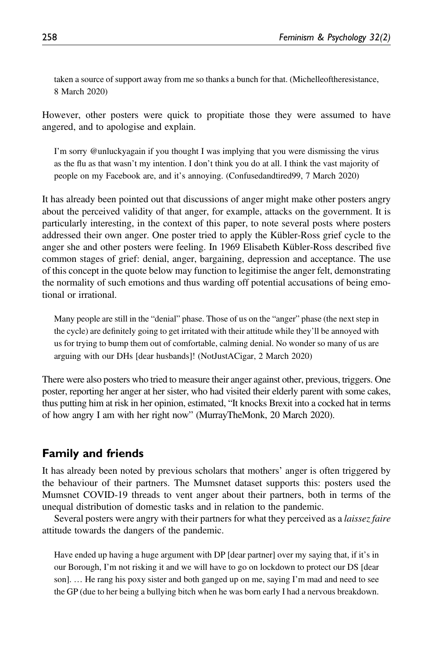taken a source of support away from me so thanks a bunch for that. (Michelleoftheresistance, 8 March 2020)

However, other posters were quick to propitiate those they were assumed to have angered, and to apologise and explain.

I'm sorry @unluckyagain if you thought I was implying that you were dismissing the virus as the flu as that wasn't my intention. I don't think you do at all. I think the vast majority of people on my Facebook are, and it's annoying. (Confusedandtired99, 7 March 2020)

It has already been pointed out that discussions of anger might make other posters angry about the perceived validity of that anger, for example, attacks on the government. It is particularly interesting, in the context of this paper, to note several posts where posters addressed their own anger. One poster tried to apply the Kübler-Ross grief cycle to the anger she and other posters were feeling. In 1969 Elisabeth Kübler-Ross described five common stages of grief: denial, anger, bargaining, depression and acceptance. The use of this concept in the quote below may function to legitimise the anger felt, demonstrating the normality of such emotions and thus warding off potential accusations of being emotional or irrational.

Many people are still in the "denial" phase. Those of us on the "anger" phase (the next step in the cycle) are definitely going to get irritated with their attitude while they'll be annoyed with us for trying to bump them out of comfortable, calming denial. No wonder so many of us are arguing with our DHs [dear husbands]! (NotJustACigar, 2 March 2020)

There were also posters who tried to measure their anger against other, previous, triggers. One poster, reporting her anger at her sister, who had visited their elderly parent with some cakes, thus putting him at risk in her opinion, estimated, "It knocks Brexit into a cocked hat in terms of how angry I am with her right now" (MurrayTheMonk, 20 March 2020).

# Family and friends

It has already been noted by previous scholars that mothers' anger is often triggered by the behaviour of their partners. The Mumsnet dataset supports this: posters used the Mumsnet COVID-19 threads to vent anger about their partners, both in terms of the unequal distribution of domestic tasks and in relation to the pandemic.

Several posters were angry with their partners for what they perceived as a *laissez faire* attitude towards the dangers of the pandemic.

Have ended up having a huge argument with DP [dear partner] over my saying that, if it's in our Borough, I'm not risking it and we will have to go on lockdown to protect our DS [dear son]. … He rang his poxy sister and both ganged up on me, saying I'm mad and need to see the GP (due to her being a bullying bitch when he was born early I had a nervous breakdown.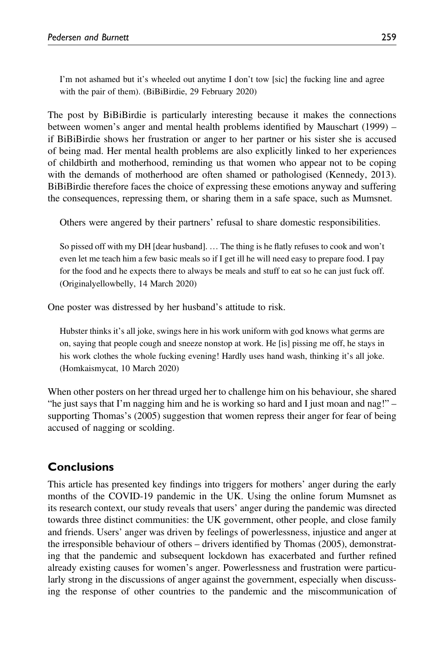I'm not ashamed but it's wheeled out anytime I don't tow [sic] the fucking line and agree with the pair of them). (BiBiBirdie, 29 February 2020)

The post by BiBiBirdie is particularly interesting because it makes the connections between women's anger and mental health problems identified by Mauschart (1999) – if BiBiBirdie shows her frustration or anger to her partner or his sister she is accused of being mad. Her mental health problems are also explicitly linked to her experiences of childbirth and motherhood, reminding us that women who appear not to be coping with the demands of motherhood are often shamed or pathologised (Kennedy, 2013). BiBiBirdie therefore faces the choice of expressing these emotions anyway and suffering the consequences, repressing them, or sharing them in a safe space, such as Mumsnet.

Others were angered by their partners' refusal to share domestic responsibilities.

So pissed off with my DH [dear husband]. … The thing is he flatly refuses to cook and won't even let me teach him a few basic meals so if I get ill he will need easy to prepare food. I pay for the food and he expects there to always be meals and stuff to eat so he can just fuck off. (Originalyellowbelly, 14 March 2020)

One poster was distressed by her husband's attitude to risk.

Hubster thinks it's all joke, swings here in his work uniform with god knows what germs are on, saying that people cough and sneeze nonstop at work. He [is] pissing me off, he stays in his work clothes the whole fucking evening! Hardly uses hand wash, thinking it's all joke. (Homkaismycat, 10 March 2020)

When other posters on her thread urged her to challenge him on his behaviour, she shared "he just says that I'm nagging him and he is working so hard and I just moan and nag!" supporting Thomas's (2005) suggestion that women repress their anger for fear of being accused of nagging or scolding.

# **Conclusions**

This article has presented key findings into triggers for mothers' anger during the early months of the COVID-19 pandemic in the UK. Using the online forum Mumsnet as its research context, our study reveals that users' anger during the pandemic was directed towards three distinct communities: the UK government, other people, and close family and friends. Users' anger was driven by feelings of powerlessness, injustice and anger at the irresponsible behaviour of others – drivers identified by Thomas (2005), demonstrating that the pandemic and subsequent lockdown has exacerbated and further refined already existing causes for women's anger. Powerlessness and frustration were particularly strong in the discussions of anger against the government, especially when discussing the response of other countries to the pandemic and the miscommunication of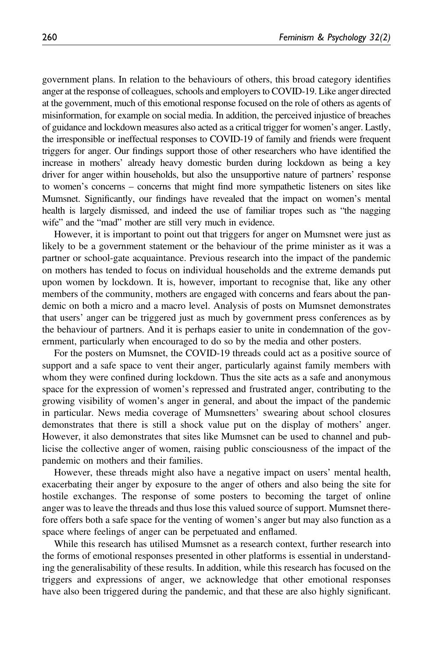government plans. In relation to the behaviours of others, this broad category identifies anger at the response of colleagues, schools and employers to COVID-19. Like anger directed at the government, much of this emotional response focused on the role of others as agents of misinformation, for example on social media. In addition, the perceived injustice of breaches of guidance and lockdown measures also acted as a critical trigger for women's anger. Lastly, the irresponsible or ineffectual responses to COVID-19 of family and friends were frequent triggers for anger. Our findings support those of other researchers who have identified the increase in mothers' already heavy domestic burden during lockdown as being a key driver for anger within households, but also the unsupportive nature of partners' response to women's concerns – concerns that might find more sympathetic listeners on sites like Mumsnet. Significantly, our findings have revealed that the impact on women's mental health is largely dismissed, and indeed the use of familiar tropes such as "the nagging wife" and the "mad" mother are still very much in evidence.

However, it is important to point out that triggers for anger on Mumsnet were just as likely to be a government statement or the behaviour of the prime minister as it was a partner or school-gate acquaintance. Previous research into the impact of the pandemic on mothers has tended to focus on individual households and the extreme demands put upon women by lockdown. It is, however, important to recognise that, like any other members of the community, mothers are engaged with concerns and fears about the pandemic on both a micro and a macro level. Analysis of posts on Mumsnet demonstrates that users' anger can be triggered just as much by government press conferences as by the behaviour of partners. And it is perhaps easier to unite in condemnation of the government, particularly when encouraged to do so by the media and other posters.

For the posters on Mumsnet, the COVID-19 threads could act as a positive source of support and a safe space to vent their anger, particularly against family members with whom they were confined during lockdown. Thus the site acts as a safe and anonymous space for the expression of women's repressed and frustrated anger, contributing to the growing visibility of women's anger in general, and about the impact of the pandemic in particular. News media coverage of Mumsnetters' swearing about school closures demonstrates that there is still a shock value put on the display of mothers' anger. However, it also demonstrates that sites like Mumsnet can be used to channel and publicise the collective anger of women, raising public consciousness of the impact of the pandemic on mothers and their families.

However, these threads might also have a negative impact on users' mental health, exacerbating their anger by exposure to the anger of others and also being the site for hostile exchanges. The response of some posters to becoming the target of online anger was to leave the threads and thus lose this valued source of support. Mumsnet therefore offers both a safe space for the venting of women's anger but may also function as a space where feelings of anger can be perpetuated and enflamed.

While this research has utilised Mumsnet as a research context, further research into the forms of emotional responses presented in other platforms is essential in understanding the generalisability of these results. In addition, while this research has focused on the triggers and expressions of anger, we acknowledge that other emotional responses have also been triggered during the pandemic, and that these are also highly significant.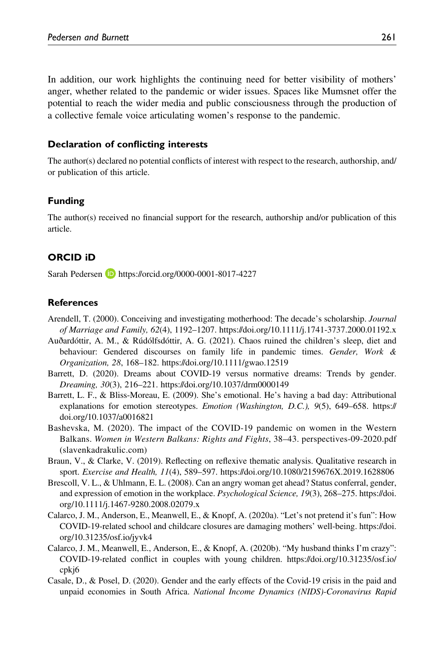In addition, our work highlights the continuing need for better visibility of mothers' anger, whether related to the pandemic or wider issues. Spaces like Mumsnet offer the potential to reach the wider media and public consciousness through the production of a collective female voice articulating women's response to the pandemic.

#### Declaration of conflicting interests

The author(s) declared no potential conflicts of interest with respect to the research, authorship, and/ or publication of this article.

#### Funding

The author(s) received no financial support for the research, authorship and/or publication of this article.

#### ORCID iD

Sarah Pedersen **<https://orcid.org/0000-0001-8017-4227>** 

#### References

- Arendell, T. (2000). Conceiving and investigating motherhood: The decade's scholarship. Journal of Marriage and Family, 62(4), 1192–1207.<https://doi.org/10.1111/j.1741-3737.2000.01192.x>
- Auðardóttir, A. M., & Rúdólfsdóttir, A. G. (2021). Chaos ruined the children's sleep, diet and behaviour: Gendered discourses on family life in pandemic times. Gender, Work & Organization, 28, 168–182.<https://doi.org/10.1111/gwao.12519>
- Barrett, D. (2020). Dreams about COVID-19 versus normative dreams: Trends by gender. Dreaming, 30(3), 216–221.<https://doi.org/10.1037/drm0000149>
- Barrett, L. F., & Bliss-Moreau, E. (2009). She's emotional. He's having a bad day: Attributional explanations for emotion stereotypes. *Emotion (Washington, D.C.)*, 9(5), 649–658. [https://](https://doi.org/10.1037/a0016821) [doi.org/10.1037/a0016821](https://doi.org/10.1037/a0016821)
- Bashevska, M. (2020). The impact of the COVID-19 pandemic on women in the Western Balkans. Women in Western Balkans: Rights and Fights, 38–43. perspectives-09-2020.pdf (slavenkadrakulic.com)
- Braun, V., & Clarke, V. (2019). Reflecting on reflexive thematic analysis. Qualitative research in sport. Exercise and Health, 11(4), 589–597.<https://doi.org/10.1080/2159676X.2019.1628806>
- Brescoll, V. L., & Uhlmann, E. L. (2008). Can an angry woman get ahead? Status conferral, gender, and expression of emotion in the workplace. Psychological Science, 19(3), 268–275. [https://doi.](https://doi.org/10.1111/j.1467-9280.2008.02079.x) [org/10.1111/j.1467-9280.2008.02079.x](https://doi.org/10.1111/j.1467-9280.2008.02079.x)
- Calarco, J. M., Anderson, E., Meanwell, E., & Knopf, A. (2020a). "Let's not pretend it's fun": How COVID-19-related school and childcare closures are damaging mothers' well-being. [https://doi.](https://doi.org/10.31235/osf.io/jyvk4) [org/10.31235/osf.io/jyvk4](https://doi.org/10.31235/osf.io/jyvk4)
- Calarco, J. M., Meanwell, E., Anderson, E., & Knopf, A. (2020b). "My husband thinks I'm crazy": COVID-19-related conflict in couples with young children. [https://doi.org/10.31235/osf.io/](https://doi.org/10.31235/osf.io/cpkj6) [cpkj6](https://doi.org/10.31235/osf.io/cpkj6)
- Casale, D., & Posel, D. (2020). Gender and the early effects of the Covid-19 crisis in the paid and unpaid economies in South Africa. National Income Dynamics (NIDS)-Coronavirus Rapid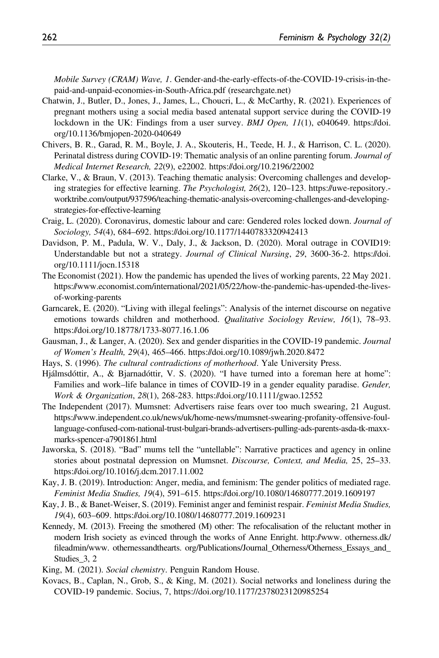Mobile Survey (CRAM) Wave, 1. Gender-and-the-early-effects-of-the-COVID-19-crisis-in-thepaid-and-unpaid-economies-in-South-Africa.pdf (researchgate.net)

- Chatwin, J., Butler, D., Jones, J., James, L., Choucri, L., & McCarthy, R. (2021). Experiences of pregnant mothers using a social media based antenatal support service during the COVID-19 lockdown in the UK: Findings from a user survey. *BMJ Open, 11*(1), e040649. [https://doi.](https://doi.org/10.1136/bmjopen-2020-040649) [org/10.1136/bmjopen-2020-040649](https://doi.org/10.1136/bmjopen-2020-040649)
- Chivers, B. R., Garad, R. M., Boyle, J. A., Skouteris, H., Teede, H. J., & Harrison, C. L. (2020). Perinatal distress during COVID-19: Thematic analysis of an online parenting forum. Journal of Medical Internet Research, 22(9), e22002.<https://doi.org/10.2196/22002>
- Clarke, V., & Braun, V. (2013). Teaching thematic analysis: Overcoming challenges and developing strategies for effective learning. The Psychologist, 26(2), 120–123. https://uwe-repository. worktribe.com/output/937596/teaching-thematic-analysis-overcoming-challenges-and-developingstrategies-for-effective-learning
- Craig, L. (2020). Coronavirus, domestic labour and care: Gendered roles locked down. Journal of Sociology, 54(4), 684–692.<https://doi.org/10.1177/1440783320942413>
- Davidson, P. M., Padula, W. V., Daly, J., & Jackson, D. (2020). Moral outrage in COVID19: Understandable but not a strategy. Journal of Clinical Nursing, 29, 3600-36-2. [https://doi.](https://doi.org/10.1111/jocn.15318) [org/10.1111/jocn.15318](https://doi.org/10.1111/jocn.15318)
- The Economist (2021). How the pandemic has upended the lives of working parents, 22 May 2021. https://www.economist.com/international/2021/05/22/how-the-pandemic-has-upended-the-livesof-working-parents
- Garncarek, E. (2020). "Living with illegal feelings": Analysis of the internet discourse on negative emotions towards children and motherhood. Qualitative Sociology Review, 16(1), 78–93. <https://doi.org/10.18778/1733-8077.16.1.06>
- Gausman, J., & Langer, A. (2020). Sex and gender disparities in the COVID-19 pandemic. Journal of Women's Health, 29(4), 465–466.<https://doi.org/10.1089/jwh.2020.8472>
- Hays, S. (1996). The cultural contradictions of motherhood. Yale University Press.
- Hjálmsdóttir, A., & Bjarnadóttir, V. S. (2020). "I have turned into a foreman here at home": Families and work–life balance in times of COVID-19 in a gender equality paradise. *Gender*, Work & Organization, 28(1), 268-283.<https://doi.org/10.1111/gwao.12552>
- The Independent (2017). Mumsnet: Advertisers raise fears over too much swearing, 21 August. https://www.independent.co.uk/news/uk/home-news/mumsnet-swearing-profanity-offensive-foullanguage-confused-com-national-trust-bulgari-brands-advertisers-pulling-ads-parents-asda-tk-maxxmarks-spencer-a7901861.html
- Jaworska, S. (2018). "Bad" mums tell the "untellable": Narrative practices and agency in online stories about postnatal depression on Mumsnet. Discourse, Context, and Media, 25, 25–33. <https://doi.org/10.1016/j.dcm.2017.11.002>
- Kay, J. B. (2019). Introduction: Anger, media, and feminism: The gender politics of mediated rage. Feminist Media Studies, 19(4), 591–615.<https://doi.org/10.1080/14680777.2019.1609197>
- Kay, J. B., & Banet-Weiser, S. (2019). Feminist anger and feminist respair. Feminist Media Studies, 19(4), 603–609.<https://doi.org/10.1080/14680777.2019.1609231>
- Kennedy, M. (2013). Freeing the smothered (M) other: The refocalisation of the reluctant mother in modern Irish society as evinced through the works of Anne Enright. http://www. otherness.dk/ fileadmin/www. othernessandthearts. org/Publications/Journal Otherness/Otherness Essays\_and Studies\_3, 2
- King, M. (2021). Social chemistry. Penguin Random House.
- Kovacs, B., Caplan, N., Grob, S., & King, M. (2021). Social networks and loneliness during the COVID-19 pandemic. Socius, 7,<https://doi.org/10.1177/2378023120985254>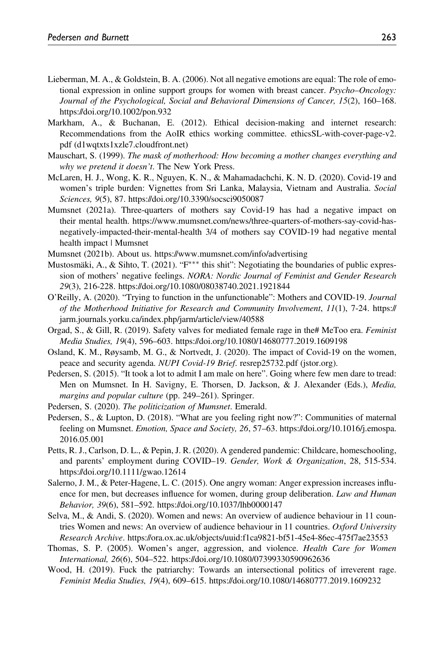- Lieberman, M. A., & Goldstein, B. A. (2006). Not all negative emotions are equal: The role of emotional expression in online support groups for women with breast cancer. *Psycho–Oncology*: Journal of the Psychological, Social and Behavioral Dimensions of Cancer, 15(2), 160–168. <https://doi.org/10.1002/pon.932>
- Markham, A., & Buchanan, E. (2012). Ethical decision-making and internet research: Recommendations from the AoIR ethics working committee. [ethicsSL-with-cover-page-v2.](ethicsSL-with-cover-page-v2.pdf (d1wqtxts1xzle7.cloudfront.net)) [pdf \(d1wqtxts1xzle7.cloudfront.net\)](ethicsSL-with-cover-page-v2.pdf (d1wqtxts1xzle7.cloudfront.net))
- Mauschart, S. (1999). The mask of motherhood: How becoming a mother changes everything and why we pretend it doesn't. The New York Press.
- McLaren, H. J., Wong, K. R., Nguyen, K. N., & Mahamadachchi, K. N. D. (2020). Covid-19 and women's triple burden: Vignettes from Sri Lanka, Malaysia, Vietnam and Australia. Social Sciences, 9(5), 87.<https://doi.org/10.3390/socsci9050087>
- Mumsnet (2021a). Three-quarters of mothers say Covid-19 has had a negative impact on their mental health. [https://www.mumsnet.com/news/three-quarters-of-mothers-say-covid-has](https://www.mumsnet.com/news/three-quarters-of-mothers-say-covid-has-negatively-impacted-their-mental-health)[negatively-impacted-their-mental-health](https://www.mumsnet.com/news/three-quarters-of-mothers-say-covid-has-negatively-impacted-their-mental-health) 3/4 of mothers say COVID-19 had negative mental health impact | Mumsnet
- Mumsnet (2021b). About us. https://www.mumsnet.com/info/advertising
- Mustosmäki, A., & Sihto, T. (2021). "F<sup>∗∗∗</sup> this shit": Negotiating the boundaries of public expression of mothers' negative feelings. NORA: Nordic Journal of Feminist and Gender Research 29(3), 216-228.<https://doi.org/10.1080/08038740.2021.1921844>
- O'Reilly, A. (2020). "Trying to function in the unfunctionable": Mothers and COVID-19. Journal of the Motherhood Initiative for Research and Community Involvement,  $11(1)$ , 7-24. [https://](https://jarm.journals.yorku.ca/index.php/jarm/article/view/40588) [jarm.journals.yorku.ca/index.php/jarm/article/view/40588](https://jarm.journals.yorku.ca/index.php/jarm/article/view/40588)
- Orgad, S., & Gill, R. (2019). Safety valves for mediated female rage in the# MeToo era. Feminist Media Studies, 19(4), 596–603.<https://doi.org/10.1080/14680777.2019.1609198>
- Osland, K. M., Røysamb, M. G., & Nortvedt, J. (2020). The impact of Covid-19 on the women, peace and security agenda. NUPI Covid-19 Brief. resrep25732.pdf (jstor.org).
- Pedersen, S. (2015). "It took a lot to admit I am male on here". Going where few men dare to tread: Men on Mumsnet. In H. Savigny, E. Thorsen, D. Jackson, & J. Alexander (Eds.), Media, margins and popular culture (pp. 249–261). Springer.
- Pedersen, S. (2020). The politicization of Mumsnet. Emerald.
- Pedersen, S., & Lupton, D. (2018). "What are you feeling right now?": Communities of maternal feeling on Mumsnet. Emotion, Space and Society, 26, 57–63. [https://doi.org/10.1016/j.emospa.](https://doi.org/10.1016/j.emospa.2016.05.001) [2016.05.001](https://doi.org/10.1016/j.emospa.2016.05.001)
- Petts, R. J., Carlson, D. L., & Pepin, J. R. (2020). A gendered pandemic: Childcare, homeschooling, and parents' employment during COVID–19. Gender, Work & Organization, 28, 515-534. <https://doi.org/10.1111/gwao.12614>
- Salerno, J. M., & Peter-Hagene, L. C. (2015). One angry woman: Anger expression increases influence for men, but decreases influence for women, during group deliberation. Law and Human Behavior, 39(6), 581–592.<https://doi.org/10.1037/lhb0000147>
- Selva, M., & Andi, S. (2020). Women and news: An overview of audience behaviour in 11 countries Women and news: An overview of audience behaviour in 11 countries. Oxford University Research Archive. https://ora.ox.ac.uk/objects/uuid:f1ca9821-bf51-45e4-86ec-475f7ae23553
- Thomas, S. P. (2005). Women's anger, aggression, and violence. Health Care for Women International, 26(6), 504–522.<https://doi.org/10.1080/07399330590962636>
- Wood, H. (2019). Fuck the patriarchy: Towards an intersectional politics of irreverent rage. Feminist Media Studies, 19(4), 609–615.<https://doi.org/10.1080/14680777.2019.1609232>